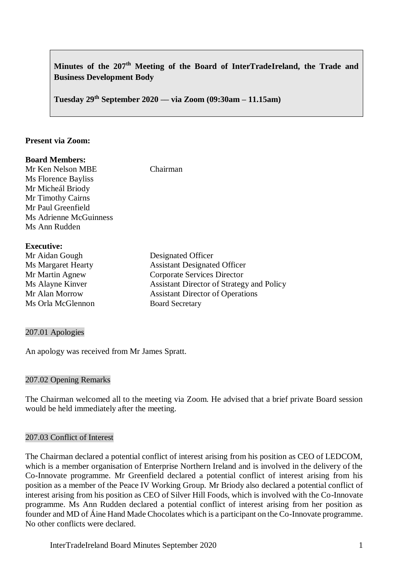# **Minutes of the 207th Meeting of the Board of InterTradeIreland, the Trade and Business Development Body**

**Tuesday 29th September 2020 –– via Zoom (09:30am – 11.15am)**

#### **Present via Zoom:**

#### **Board Members:**

| Mr Ken Nelson MBE      | Chairman |  |
|------------------------|----------|--|
| Ms Florence Bayliss    |          |  |
| Mr Micheál Briody      |          |  |
| Mr Timothy Cairns      |          |  |
| Mr Paul Greenfield     |          |  |
| Ms Adrienne McGuinness |          |  |
| Ms Ann Rudden          |          |  |
| Fyocutivo.             |          |  |

#### **Executive:**

| LAUUUIV.                  |                                           |  |
|---------------------------|-------------------------------------------|--|
| Mr Aidan Gough            | Designated Officer                        |  |
| <b>Ms Margaret Hearty</b> | <b>Assistant Designated Officer</b>       |  |
| Mr Martin Agnew           | Corporate Services Director               |  |
| Ms Alayne Kinver          | Assistant Director of Strategy and Policy |  |
| Mr Alan Morrow            | <b>Assistant Director of Operations</b>   |  |
| Ms Orla McGlennon         | <b>Board Secretary</b>                    |  |
|                           |                                           |  |

#### 207.01 Apologies

An apology was received from Mr James Spratt.

### 207.02 Opening Remarks

The Chairman welcomed all to the meeting via Zoom. He advised that a brief private Board session would be held immediately after the meeting.

#### 207.03 Conflict of Interest

The Chairman declared a potential conflict of interest arising from his position as CEO of LEDCOM, which is a member organisation of Enterprise Northern Ireland and is involved in the delivery of the Co-Innovate programme. Mr Greenfield declared a potential conflict of interest arising from his position as a member of the Peace IV Working Group. Mr Briody also declared a potential conflict of interest arising from his position as CEO of Silver Hill Foods, which is involved with the Co-Innovate programme. Ms Ann Rudden declared a potential conflict of interest arising from her position as founder and MD of Áine Hand Made Chocolates which is a participant on the Co-Innovate programme. No other conflicts were declared.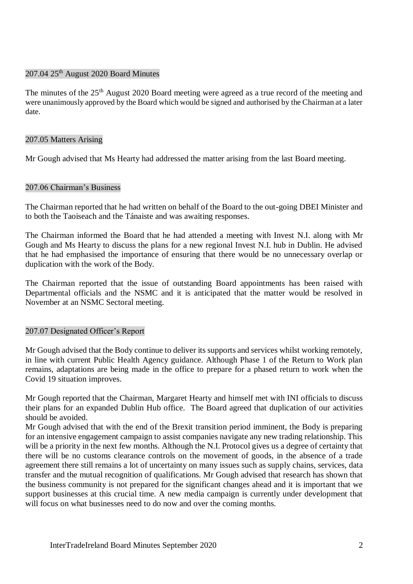### 207.04 25<sup>th</sup> August 2020 Board Minutes

The minutes of the 25<sup>th</sup> August 2020 Board meeting were agreed as a true record of the meeting and were unanimously approved by the Board which would be signed and authorised by the Chairman at a later date.

#### 207.05 Matters Arising

Mr Gough advised that Ms Hearty had addressed the matter arising from the last Board meeting.

#### 207.06 Chairman's Business

The Chairman reported that he had written on behalf of the Board to the out-going DBEI Minister and to both the Taoiseach and the Tánaiste and was awaiting responses.

The Chairman informed the Board that he had attended a meeting with Invest N.I. along with Mr Gough and Ms Hearty to discuss the plans for a new regional Invest N.I. hub in Dublin. He advised that he had emphasised the importance of ensuring that there would be no unnecessary overlap or duplication with the work of the Body.

The Chairman reported that the issue of outstanding Board appointments has been raised with Departmental officials and the NSMC and it is anticipated that the matter would be resolved in November at an NSMC Sectoral meeting.

#### 207.07 Designated Officer's Report

Mr Gough advised that the Body continue to deliver its supports and services whilst working remotely, in line with current Public Health Agency guidance. Although Phase 1 of the Return to Work plan remains, adaptations are being made in the office to prepare for a phased return to work when the Covid 19 situation improves.

Mr Gough reported that the Chairman, Margaret Hearty and himself met with INI officials to discuss their plans for an expanded Dublin Hub office. The Board agreed that duplication of our activities should be avoided.

Mr Gough advised that with the end of the Brexit transition period imminent, the Body is preparing for an intensive engagement campaign to assist companies navigate any new trading relationship. This will be a priority in the next few months. Although the N.I. Protocol gives us a degree of certainty that there will be no customs clearance controls on the movement of goods, in the absence of a trade agreement there still remains a lot of uncertainty on many issues such as supply chains, services, data transfer and the mutual recognition of qualifications. Mr Gough advised that research has shown that the business community is not prepared for the significant changes ahead and it is important that we support businesses at this crucial time. A new media campaign is currently under development that will focus on what businesses need to do now and over the coming months.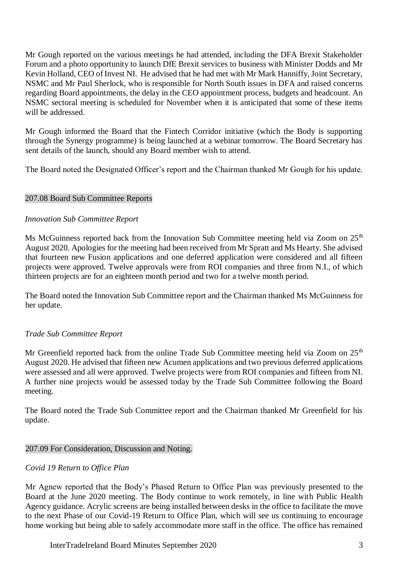Mr Gough reported on the various meetings he had attended, including the DFA Brexit Stakeholder Forum and a photo opportunity to launch DfE Brexit services to business with Minister Dodds and Mr Kevin Holland, CEO of Invest NI. He advised that he had met with Mr Mark Hanniffy, Joint Secretary, NSMC and Mr Paul Sherlock, who is responsible for North South issues in DFA and raised concerns regarding Board appointments, the delay in the CEO appointment process, budgets and headcount. An NSMC sectoral meeting is scheduled for November when it is anticipated that some of these items will be addressed.

Mr Gough informed the Board that the Fintech Corridor initiative (which the Body is supporting through the Synergy programme) is being launched at a webinar tomorrow. The Board Secretary has sent details of the launch, should any Board member wish to attend.

The Board noted the Designated Officer's report and the Chairman thanked Mr Gough for his update.

### 207.08 Board Sub Committee Reports

### *Innovation Sub Committee Report*

Ms McGuinness reported back from the Innovation Sub Committee meeting held via Zoom on  $25<sup>th</sup>$ August 2020. Apologies for the meeting had been received from Mr Spratt and Ms Hearty. She advised that fourteen new Fusion applications and one deferred application were considered and all fifteen projects were approved. Twelve approvals were from ROI companies and three from N.I., of which thirteen projects are for an eighteen month period and two for a twelve month period.

The Board noted the Innovation Sub Committee report and the Chairman thanked Ms McGuinness for her update.

### *Trade Sub Committee Report*

Mr Greenfield reported back from the online Trade Sub Committee meeting held via Zoom on  $25<sup>th</sup>$ August 2020. He advised that fifteen new Acumen applications and two previous deferred applications were assessed and all were approved. Twelve projects were from ROI companies and fifteen from NI. A further nine projects would be assessed today by the Trade Sub Committee following the Board meeting.

The Board noted the Trade Sub Committee report and the Chairman thanked Mr Greenfield for his update.

### 207.09 For Consideration, Discussion and Noting.

### *Covid 19 Return to Office Plan*

Mr Agnew reported that the Body's Phased Return to Office Plan was previously presented to the Board at the June 2020 meeting. The Body continue to work remotely, in line with Public Health Agency guidance. Acrylic screens are being installed between desks in the office to facilitate the move to the next Phase of our Covid-19 Return to Office Plan, which will see us continuing to encourage home working but being able to safely accommodate more staff in the office. The office has remained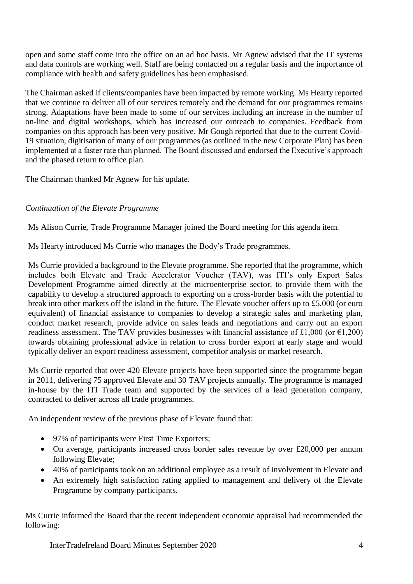open and some staff come into the office on an ad hoc basis. Mr Agnew advised that the IT systems and data controls are working well. Staff are being contacted on a regular basis and the importance of compliance with health and safety guidelines has been emphasised.

The Chairman asked if clients/companies have been impacted by remote working. Ms Hearty reported that we continue to deliver all of our services remotely and the demand for our programmes remains strong. Adaptations have been made to some of our services including an increase in the number of on-line and digital workshops, which has increased our outreach to companies. Feedback from companies on this approach has been very positive. Mr Gough reported that due to the current Covid-19 situation, digitisation of many of our programmes (as outlined in the new Corporate Plan) has been implemented at a faster rate than planned. The Board discussed and endorsed the Executive's approach and the phased return to office plan.

The Chairman thanked Mr Agnew for his update.

# *Continuation of the Elevate Programme*

Ms Alison Currie, Trade Programme Manager joined the Board meeting for this agenda item.

Ms Hearty introduced Ms Currie who manages the Body's Trade programmes.

Ms Currie provided a background to the Elevate programme. She reported that the programme, which includes both Elevate and Trade Accelerator Voucher (TAV), was ITI's only Export Sales Development Programme aimed directly at the microenterprise sector, to provide them with the capability to develop a structured approach to exporting on a cross-border basis with the potential to break into other markets off the island in the future. The Elevate voucher offers up to £5,000 (or euro equivalent) of financial assistance to companies to develop a strategic sales and marketing plan, conduct market research, provide advice on sales leads and negotiations and carry out an export readiness assessment. The TAV provides businesses with financial assistance of £1,000 (or  $\epsilon$ 1,200) towards obtaining professional advice in relation to cross border export at early stage and would typically deliver an export readiness assessment, competitor analysis or market research.

Ms Currie reported that over 420 Elevate projects have been supported since the programme began in 2011, delivering 75 approved Elevate and 30 TAV projects annually. The programme is managed in-house by the ITI Trade team and supported by the services of a lead generation company, contracted to deliver across all trade programmes.

An independent review of the previous phase of Elevate found that:

- 97% of participants were First Time Exporters;
- On average, participants increased cross border sales revenue by over £20,000 per annum following Elevate;
- 40% of participants took on an additional employee as a result of involvement in Elevate and
- An extremely high satisfaction rating applied to management and delivery of the Elevate Programme by company participants.

Ms Currie informed the Board that the recent independent economic appraisal had recommended the following:

InterTradeIreland Board Minutes September 2020 4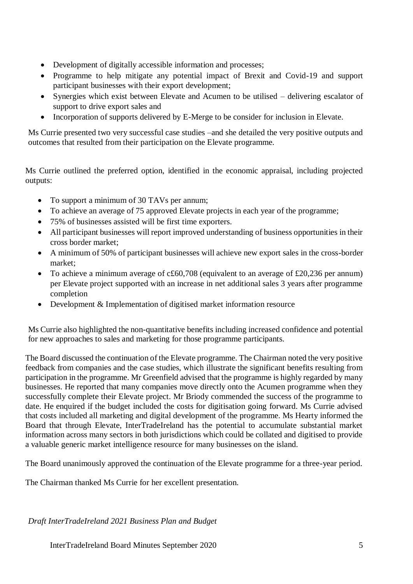- Development of digitally accessible information and processes;
- Programme to help mitigate any potential impact of Brexit and Covid-19 and support participant businesses with their export development;
- Synergies which exist between Elevate and Acumen to be utilised delivering escalator of support to drive export sales and
- Incorporation of supports delivered by E-Merge to be consider for inclusion in Elevate.

Ms Currie presented two very successful case studies –and she detailed the very positive outputs and outcomes that resulted from their participation on the Elevate programme.

Ms Currie outlined the preferred option, identified in the economic appraisal, including projected outputs:

- To support a minimum of 30 TAVs per annum;
- To achieve an average of 75 approved Elevate projects in each year of the programme;
- 75% of businesses assisted will be first time exporters.
- All participant businesses will report improved understanding of business opportunities in their cross border market;
- A minimum of 50% of participant businesses will achieve new export sales in the cross-border market;
- To achieve a minimum average of  $c\text{\pounds}60,708$  (equivalent to an average of  $\text{\pounds}20,236$  per annum) per Elevate project supported with an increase in net additional sales 3 years after programme completion
- Development & Implementation of digitised market information resource

Ms Currie also highlighted the non-quantitative benefits including increased confidence and potential for new approaches to sales and marketing for those programme participants.

The Board discussed the continuation of the Elevate programme. The Chairman noted the very positive feedback from companies and the case studies, which illustrate the significant benefits resulting from participation in the programme. Mr Greenfield advised that the programme is highly regarded by many businesses. He reported that many companies move directly onto the Acumen programme when they successfully complete their Elevate project. Mr Briody commended the success of the programme to date. He enquired if the budget included the costs for digitisation going forward. Ms Currie advised that costs included all marketing and digital development of the programme. Ms Hearty informed the Board that through Elevate, InterTradeIreland has the potential to accumulate substantial market information across many sectors in both jurisdictions which could be collated and digitised to provide a valuable generic market intelligence resource for many businesses on the island.

The Board unanimously approved the continuation of the Elevate programme for a three-year period.

The Chairman thanked Ms Currie for her excellent presentation.

*Draft InterTradeIreland 2021 Business Plan and Budget*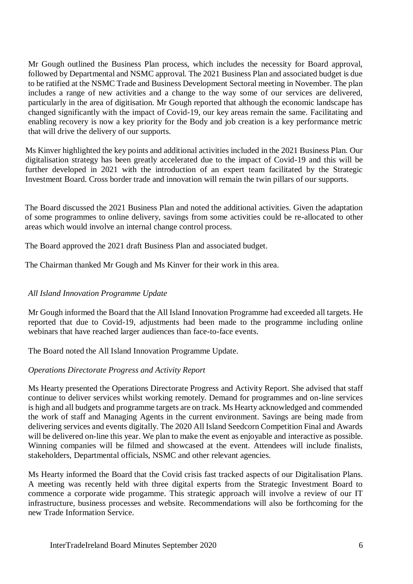Mr Gough outlined the Business Plan process, which includes the necessity for Board approval, followed by Departmental and NSMC approval. The 2021 Business Plan and associated budget is due to be ratified at the NSMC Trade and Business Development Sectoral meeting in November. The plan includes a range of new activities and a change to the way some of our services are delivered, particularly in the area of digitisation. Mr Gough reported that although the economic landscape has changed significantly with the impact of Covid-19, our key areas remain the same. Facilitating and enabling recovery is now a key priority for the Body and job creation is a key performance metric that will drive the delivery of our supports.

Ms Kinver highlighted the key points and additional activities included in the 2021 Business Plan. Our digitalisation strategy has been greatly accelerated due to the impact of Covid-19 and this will be further developed in 2021 with the introduction of an expert team facilitated by the Strategic Investment Board. Cross border trade and innovation will remain the twin pillars of our supports.

The Board discussed the 2021 Business Plan and noted the additional activities. Given the adaptation of some programmes to online delivery, savings from some activities could be re-allocated to other areas which would involve an internal change control process.

The Board approved the 2021 draft Business Plan and associated budget.

The Chairman thanked Mr Gough and Ms Kinver for their work in this area.

# *All Island Innovation Programme Update*

Mr Gough informed the Board that the All Island Innovation Programme had exceeded all targets. He reported that due to Covid-19, adjustments had been made to the programme including online webinars that have reached larger audiences than face-to-face events.

The Board noted the All Island Innovation Programme Update.

### *Operations Directorate Progress and Activity Report*

Ms Hearty presented the Operations Directorate Progress and Activity Report. She advised that staff continue to deliver services whilst working remotely. Demand for programmes and on-line services is high and all budgets and programme targets are on track. Ms Hearty acknowledged and commended the work of staff and Managing Agents in the current environment. Savings are being made from delivering services and events digitally. The 2020 All Island Seedcorn Competition Final and Awards will be delivered on-line this year. We plan to make the event as enjoyable and interactive as possible. Winning companies will be filmed and showcased at the event. Attendees will include finalists, stakeholders, Departmental officials, NSMC and other relevant agencies.

Ms Hearty informed the Board that the Covid crisis fast tracked aspects of our Digitalisation Plans. A meeting was recently held with three digital experts from the Strategic Investment Board to commence a corporate wide progamme. This strategic approach will involve a review of our IT infrastructure, business processes and website. Recommendations will also be forthcoming for the new Trade Information Service.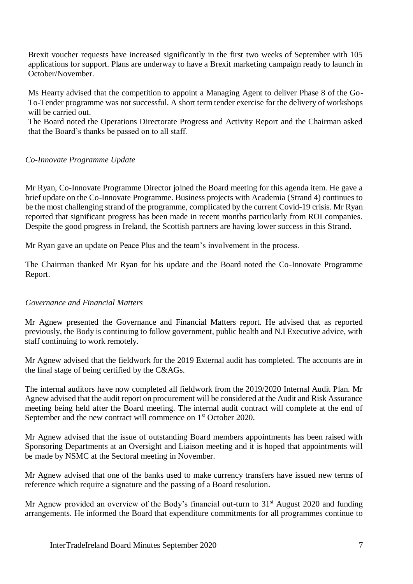Brexit voucher requests have increased significantly in the first two weeks of September with 105 applications for support. Plans are underway to have a Brexit marketing campaign ready to launch in October/November.

Ms Hearty advised that the competition to appoint a Managing Agent to deliver Phase 8 of the Go-To-Tender programme was not successful. A short term tender exercise for the delivery of workshops will be carried out.

The Board noted the Operations Directorate Progress and Activity Report and the Chairman asked that the Board's thanks be passed on to all staff.

### *Co-Innovate Programme Update*

Mr Ryan, Co-Innovate Programme Director joined the Board meeting for this agenda item. He gave a brief update on the Co-Innovate Programme. Business projects with Academia (Strand 4) continues to be the most challenging strand of the programme, complicated by the current Covid-19 crisis. Mr Ryan reported that significant progress has been made in recent months particularly from ROI companies. Despite the good progress in Ireland, the Scottish partners are having lower success in this Strand.

Mr Ryan gave an update on Peace Plus and the team's involvement in the process.

The Chairman thanked Mr Ryan for his update and the Board noted the Co-Innovate Programme Report.

### *Governance and Financial Matters*

Mr Agnew presented the Governance and Financial Matters report. He advised that as reported previously, the Body is continuing to follow government, public health and N.I Executive advice, with staff continuing to work remotely.

Mr Agnew advised that the fieldwork for the 2019 External audit has completed. The accounts are in the final stage of being certified by the C&AGs.

The internal auditors have now completed all fieldwork from the 2019/2020 Internal Audit Plan. Mr Agnew advised that the audit report on procurement will be considered at the Audit and Risk Assurance meeting being held after the Board meeting. The internal audit contract will complete at the end of September and the new contract will commence on 1<sup>st</sup> October 2020.

Mr Agnew advised that the issue of outstanding Board members appointments has been raised with Sponsoring Departments at an Oversight and Liaison meeting and it is hoped that appointments will be made by NSMC at the Sectoral meeting in November.

Mr Agnew advised that one of the banks used to make currency transfers have issued new terms of reference which require a signature and the passing of a Board resolution.

Mr Agnew provided an overview of the Body's financial out-turn to  $31<sup>st</sup>$  August 2020 and funding arrangements. He informed the Board that expenditure commitments for all programmes continue to